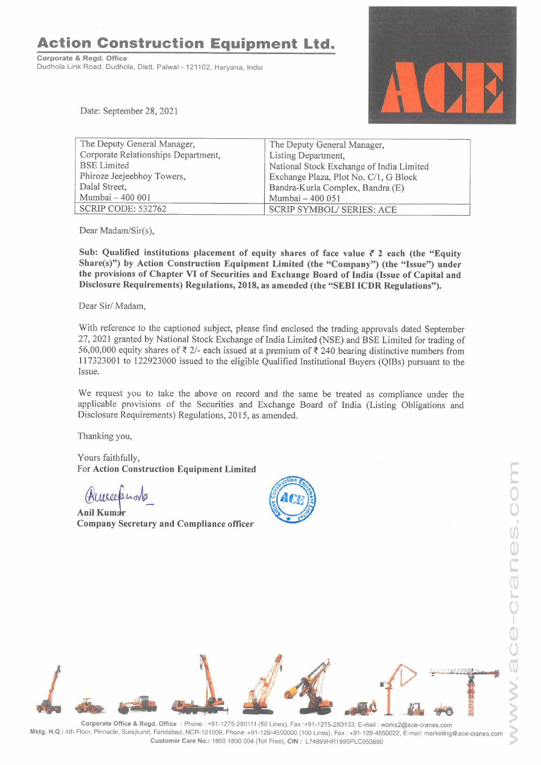**Action Construction Equipment Ltd.** 

**Corporate** & **Regd. Office**  Dudhola Link Road, Dudhola, Distt. Palwal - 121102, Haryana, India



Date: September 28, 2021

| The Deputy General Manager,         | The Deputy General Manager,              |
|-------------------------------------|------------------------------------------|
| Corporate Relationships Department, | Listing Department,                      |
| <b>BSE</b> Limited                  | National Stock Exchange of India Limited |
| Phiroze Jeejeebhoy Towers,          | Exchange Plaza, Plot No. C/1, G Block    |
| Dalal Street,                       | Bandra-Kurla Complex, Bandra (E)         |
| Mumbai - 400 001                    | Mumbai - 400 051                         |
| <b>SCRIP CODE: 532762</b>           | <b>SCRIP SYMBOL/ SERIES: ACE</b>         |

Dear Madam/Sir(s),

Sub: Qualified institutions placement of equity shares of face value  $\bar{\tau}$  2 each (the "Equity **Share(s)") by Action Construction Equipment Limited (the "Company") (the "Issue") under the provisions of Chapter VI of Securities and Exchange Board of India (Issue of Capital and Disclosure Requirements) Regulations, 2018, as amended (the "SEBI ICDR Regulations").** 

Dear Sir/ Madam,

With reference to the captioned subject, please find enclosed the trading approvals dated September 27, 2021 granted by National Stock Exchange of India Limited (NSE) and BSE Limited for trading of 56,00,000 equity shares of  $\overline{\zeta}$  2/- each issued at a premium of  $\overline{\zeta}$  240 bearing distinctive numbers from 117323001 to 122923000 issued to the eligible Qualified Institutional Buyers (QIBs) pursuant to the Issue.

We request you to take the above on record and the same be treated as compliance under the applicable provisions of the Securities and Exchange Board of India (Listing Obligations and Disclosure Requirements) Regulations, 2015, as amended.

Thanking you,

Yours faithfully, For **Action Construction Equipment Limited** 

Thanking you,<br>Yours faithfully,<br>For Action Construction<br>(MUULLU<sub>OV</sub>)<br>Anil Kumar<br>Company Secretary an **Company Secretary and Compliance officer** 





**Corporate Office** & **Regd. Office :** Phone: +91-1275-280111 (50 Lines), Fax :+91-1275-280133, E-mail: works2@ace-cranes.com **Mktg. H.Q.:** 4th Floor, Pinnacle, Surajkund, Faridabad, NCR-121009, Phone: +91-129-4550000 (100 Lines), Fax : +91-129-4550022, E-mail: marketing@ace-cranes.com **Customer Care No.:** 1800 1800 004 (Toll Free), **CIN:** L74899HR1995PLC053860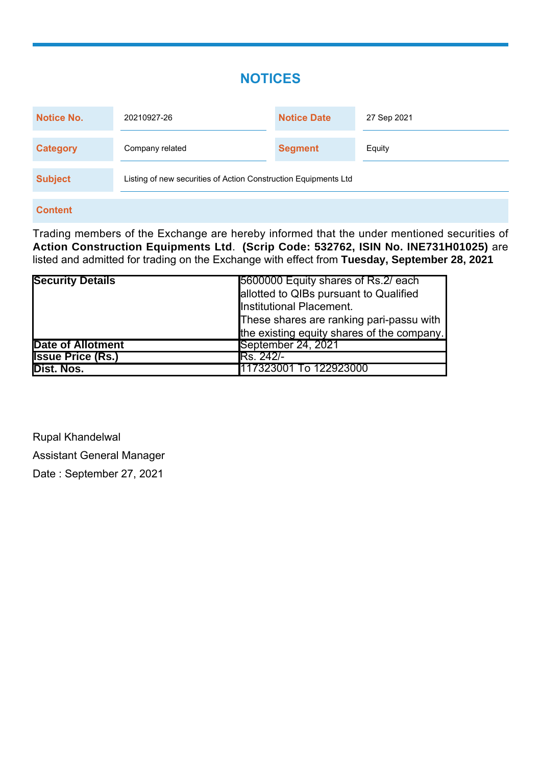# **NOTICES**

| <b>Notice No.</b> | 20210927-26                                                     | <b>Notice Date</b> | 27 Sep 2021 |
|-------------------|-----------------------------------------------------------------|--------------------|-------------|
| <b>Category</b>   | Company related                                                 | <b>Segment</b>     | Equity      |
| <b>Subject</b>    | Listing of new securities of Action Construction Equipments Ltd |                    |             |

## **Content**

Trading members of the Exchange are hereby informed that the under mentioned securities of **Action Construction Equipments Ltd**. **(Scrip Code: 532762, ISIN No. INE731H01025)** are listed and admitted for trading on the Exchange with effect from **Tuesday, September 28, 2021**

| <b>Security Details</b>  | 5600000 Equity shares of Rs. 2/ each       |
|--------------------------|--------------------------------------------|
|                          | allotted to QIBs pursuant to Qualified     |
|                          | Institutional Placement.                   |
|                          | These shares are ranking pari-passu with   |
|                          | the existing equity shares of the company. |
| <b>Date of Allotment</b> | September 24, 2021                         |
| <b>Issue Price (Rs.)</b> | <b>IRs. 242/-</b>                          |
| Dist. Nos.               | 117323001 To 122923000                     |

Rupal Khandelwal Assistant General Manager Date : September 27, 2021